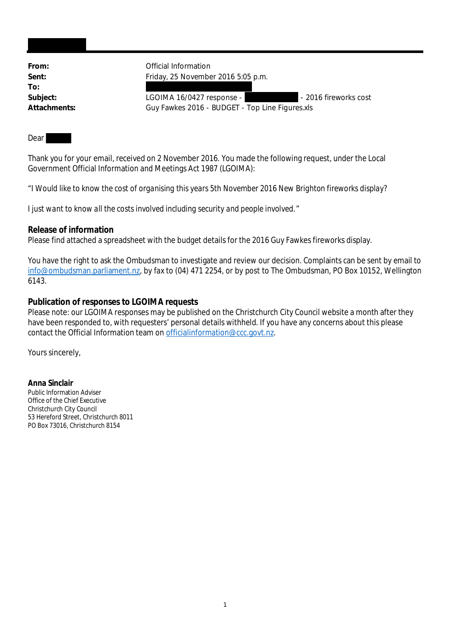| Official Information                            |                       |
|-------------------------------------------------|-----------------------|
| Friday, 25 November 2016 5:05 p.m.              |                       |
|                                                 |                       |
| LGOIMA 16/0427 response -                       | - 2016 fireworks cost |
| Guy Fawkes 2016 - BUDGET - Top Line Figures.xls |                       |
|                                                 |                       |

Dear

Thank you for your email, received on 2 November 2016. You made the following request, under the Local Government Official Information and Meetings Act 1987 (LGOIMA):

"*I Would like to know the cost of organising this years 5th November 2016 New Brighton fireworks display?*

*I just want to know all the costs involved including security and people involved.*"

**Release of information**

Please find attached a spreadsheet with the budget details for the 2016 Guy Fawkes fireworks display.

You have the right to ask the Ombudsman to investigate and review our decision. Complaints can be sent by email to info@ombudsman.parliament.nz, by fax to (04) 471 2254, or by post to The Ombudsman, PO Box 10152, Wellington 6143.

**Publication of responses to LGOIMA requests**

Please note: our LGOIMA responses may be published on the Christchurch City Council website a month after they have been responded to, with requesters' personal details withheld. If you have any concerns about this please contact the Official Information team on officialinformation@ccc.govt.nz.

Yours sincerely,

**Anna Sinclair** Public Information Adviser Office of the Chief Executive Christchurch City Council 53 Hereford Street, Christchurch 8011 PO Box 73016, Christchurch 8154